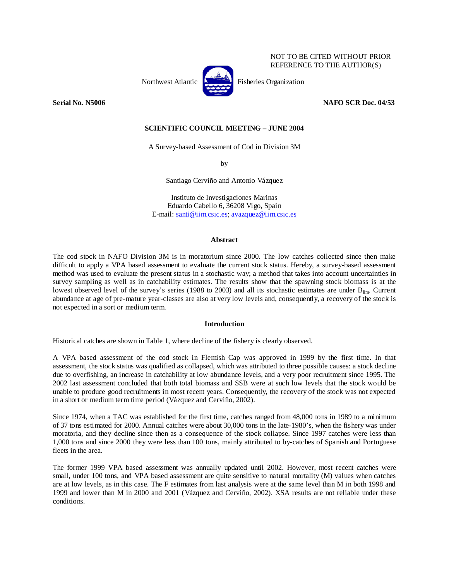

NOT TO BE CITED WITHOUT PRIOR REFERENCE TO THE AUTHOR(S)

**Serial No. N5006 NAFO SCR Doc. 04/53** 

# **SCIENTIFIC COUNCIL MEETING – JUNE 2004**

A Survey-based Assessment of Cod in Division 3M

by

Santiago Cerviño and Antonio Vázquez

Instituto de Investigaciones Marinas Eduardo Cabello 6, 36208 Vigo, Spain E-mail: santi@iim.csic.es; avazquez@iim.csic.es

### **Abstract**

The cod stock in NAFO Division 3M is in moratorium since 2000. The low catches collected since then make difficult to apply a VPA based assessment to evaluate the current stock status. Hereby, a survey-based assessment method was used to evaluate the present status in a stochastic way; a method that takes into account uncertainties in survey sampling as well as in catchability estimates. The results show that the spawning stock biomass is at the lowest observed level of the survey's series (1988 to 2003) and all its stochastic estimates are under  $B_{lim}$ . Current abundance at age of pre-mature year-classes are also at very low levels and, consequently, a recovery of the stock is not expected in a sort or medium term.

# **Introduction**

Historical catches are shown in Table 1, where decline of the fishery is clearly observed.

A VPA based assessment of the cod stock in Flemish Cap was approved in 1999 by the first time. In that assessment, the stock status was qualified as collapsed, which was attributed to three possible causes: a stock decline due to overfishing, an increase in catchability at low abundance levels, and a very poor recruitment since 1995. The 2002 last assessment concluded that both total biomass and SSB were at such low levels that the stock would be unable to produce good recruitments in most recent years. Consequently, the recovery of the stock was not expected in a short or medium term time period (Vázquez and Cerviño, 2002).

Since 1974, when a TAC was established for the first time, catches ranged from 48,000 tons in 1989 to a minimum of 37 tons estimated for 2000. Annual catches were about 30,000 tons in the late-1980's, when the fishery was under moratoria, and they decline since then as a consequence of the stock collapse. Since 1997 catches were less than 1,000 tons and since 2000 they were less than 100 tons, mainly attributed to by-catches of Spanish and Portuguese fleets in the area.

The former 1999 VPA based assessment was annually updated until 2002. However, most recent catches were small, under 100 tons, and VPA based assessment are quite sensitive to natural mortality (M) values when catches are at low levels, as in this case. The F estimates from last analysis were at the same level than M in both 1998 and 1999 and lower than M in 2000 and 2001 (Vázquez and Cerviño, 2002). XSA results are not reliable under these conditions.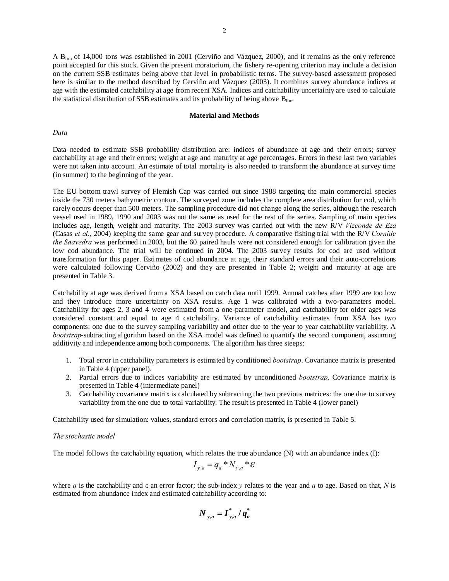A Blim of 14,000 tons was established in 2001 (Cerviño and Vázquez, 2000), and it remains as the only reference point accepted for this stock. Given the present moratorium, the fishery re-opening criterion may include a decision on the current SSB estimates being above that level in probabilistic terms. The survey-based assessment proposed here is similar to the method described by Cerviño and Vázquez (2003). It combines survey abundance indices at age with the estimated catchability at age from recent XSA. Indices and catchability uncertainty are used to calculate the statistical distribution of SSB estimates and its probability of being above  $B_{\text{lim}}$ .

#### **Material and Methods**

## *Data*

Data needed to estimate SSB probability distribution are: indices of abundance at age and their errors; survey catchability at age and their errors; weight at age and maturity at age percentages. Errors in these last two variables were not taken into account. An estimate of total mortality is also needed to transform the abundance at survey time (in summer) to the beginning of the year.

The EU bottom trawl survey of Flemish Cap was carried out since 1988 targeting the main commercial species inside the 730 meters bathymetric contour. The surveyed zone includes the complete area distribution for cod, which rarely occurs deeper than 500 meters. The sampling procedure did not change along the series, although the research vessel used in 1989, 1990 and 2003 was not the same as used for the rest of the series. Sampling of main species includes age, length, weight and maturity. The 2003 survey was carried out with the new R/V *Vizconde de Eza* (Casas *et al.*, 2004) keeping the same gear and survey procedure. A comparative fishing trial with the R/V *Cornide the Saavedra* was performed in 2003, but the 60 paired hauls were not considered enough for calibration given the low cod abundance. The trial will be continued in 2004. The 2003 survey results for cod are used without transformation for this paper. Estimates of cod abundance at age, their standard errors and their auto-correlations were calculated following Cerviño (2002) and they are presented in Table 2; weight and maturity at age are presented in Table 3.

Catchability at age was derived from a XSA based on catch data until 1999. Annual catches after 1999 are too low and they introduce more uncertainty on XSA results. Age 1 was calibrated with a two-parameters model. Catchability for ages 2, 3 and 4 were estimated from a one-parameter model, and catchability for older ages was considered constant and equal to age 4 catchability. Variance of catchability estimates from XSA has two components: one due to the survey sampling variability and other due to the year to year catchability variability. A *bootstrap*-subtracting algorithm based on the XSA model was defined to quantify the second component, assuming additivity and independence among both components. The algorithm has three steeps:

- 1. Total error in catchability parameters is estimated by conditioned *bootstrap*. Covariance matrix is presented in Table 4 (upper panel).
- 2. Partial errors due to indices variability are estimated by unconditioned *bootstrap*. Covariance matrix is presented in Table 4 (intermediate panel)
- 3. Catchability covariance matrix is calculated by subtracting the two previous matrices: the one due to survey variability from the one due to total variability. The result is presented in Table 4 (lower panel)

Catchability used for simulation: values, standard errors and correlation matrix, is presented in Table 5.

# *The stochastic model*

The model follows the catchability equation, which relates the true abundance  $(N)$  with an abundance index  $(I)$ :

$$
I_{y,a} = q_a * N_{y,a} * \mathcal{E}
$$

where *q* is the catchability and ε an error factor; the sub-index *y* relates to the year and *a* to age. Based on that, *N* is estimated from abundance index and estimated catchability according to:

$$
N_{y,a} = \boldsymbol{I}_{y,a}^* / \boldsymbol{q}_a^*
$$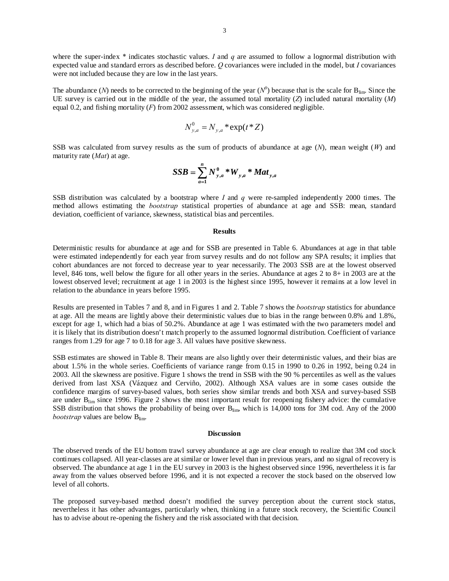where the super-index *\** indicates stochastic values. *I* and *q* are assumed to follow a lognormal distribution with expected value and standard errors as described before. *Q* covariances were included in the model, but *I* covariances were not included because they are low in the last years.

The abundance (*N*) needs to be corrected to the beginning of the year ( $N^0$ ) because that is the scale for B<sub>lim</sub>. Since the UE survey is carried out in the middle of the year, the assumed total mortality  $(Z)$  included natural mortality  $(M)$ equal 0.2, and fishing mortality (*F*) from 2002 assessment, which was considered negligible.

$$
N_{y,a}^0 = N_{y,a} * \exp(t * Z)
$$

SSB was calculated from survey results as the sum of products of abundance at age (*N*), mean weight (*W*) and maturity rate (*Mat*) at age.

$$
SSB = \sum_{a=1}^{n} N_{y,a}^{0} * W_{y,a} * Mat_{y,a}
$$

SSB distribution was calculated by a bootstrap where *I* and *q* were re-sampled independently 2000 times. The method allows estimating the *bootstrap* statistical properties of abundance at age and SSB: mean, standard deviation, coefficient of variance, skewness, statistical bias and percentiles.

### **Results**

Deterministic results for abundance at age and for SSB are presented in Table 6. Abundances at age in that table were estimated independently for each year from survey results and do not follow any SPA results; it implies that cohort abundances are not forced to decrease year to year necessarily. The 2003 SSB are at the lowest observed level, 846 tons, well below the figure for all other years in the series. Abundance at ages 2 to 8+ in 2003 are at the lowest observed level; recruitment at age 1 in 2003 is the highest since 1995, however it remains at a low level in relation to the abundance in years before 1995.

Results are presented in Tables 7 and 8, and in Figures 1 and 2. Table 7 shows the *bootstrap* statistics for abundance at age. All the means are lightly above their deterministic values due to bias in the range between 0.8% and 1.8%, except for age 1, which had a bias of 50.2%. Abundance at age 1 was estimated with the two parameters model and it is likely that its distribution doesn't match properly to the assumed lognormal distribution. Coefficient of variance ranges from 1.29 for age 7 to 0.18 for age 3. All values have positive skewness.

SSB estimates are showed in Table 8. Their means are also lightly over their deterministic values, and their bias are about 1.5% in the whole series. Coefficients of variance range from 0.15 in 1990 to 0.26 in 1992, being 0.24 in 2003. All the skewness are positive. Figure 1 shows the trend in SSB with the 90 % percentiles as well as the values derived from last XSA (Vázquez and Cerviño, 2002). Although XSA values are in some cases outside the confidence margins of survey-based values, both series show similar trends and both XSA and survey-based SSB are under  $B_{\text{lim}}$  since 1996. Figure 2 shows the most important result for reopening fishery advice: the cumulative SSB distribution that shows the probability of being over  $B_{\text{lim}}$ , which is 14,000 tons for 3M cod. Any of the 2000 *bootstrap* values are below B<sub>lim</sub>.

#### **Discussion**

The observed trends of the EU bottom trawl survey abundance at age are clear enough to realize that 3M cod stock continues collapsed. All year-classes are at similar or lower level than in previous years, and no signal of recovery is observed. The abundance at age 1 in the EU survey in 2003 is the highest observed since 1996, nevertheless it is far away from the values observed before 1996, and it is not expected a recover the stock based on the observed low level of all cohorts.

The proposed survey-based method doesn't modified the survey perception about the current stock status, nevertheless it has other advantages, particularly when, thinking in a future stock recovery, the Scientific Council has to advise about re-opening the fishery and the risk associated with that decision.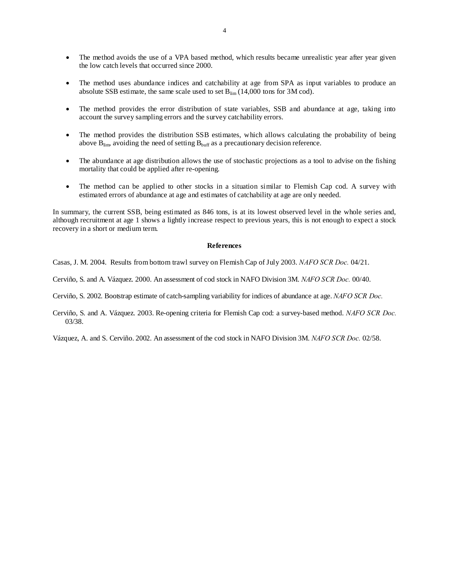- The method avoids the use of a VPA based method, which results became unrealistic year after year given the low catch levels that occurred since 2000.
- The method uses abundance indices and catchability at age from SPA as input variables to produce an absolute SSB estimate, the same scale used to set  $B_{\text{lim}}(14,000 \text{ tons}$  for 3M cod).
- The method provides the error distribution of state variables, SSB and abundance at age, taking into account the survey sampling errors and the survey catchability errors.
- The method provides the distribution SSB estimates, which allows calculating the probability of being above  $B_{\text{lim}}$ , avoiding the need of setting  $B_{\text{buff}}$  as a precautionary decision reference.
- The abundance at age distribution allows the use of stochastic projections as a tool to advise on the fishing mortality that could be applied after re-opening.
- The method can be applied to other stocks in a situation similar to Flemish Cap cod. A survey with estimated errors of abundance at age and estimates of catchability at age are only needed.

In summary, the current SSB, being estimated as 846 tons, is at its lowest observed level in the whole series and, although recruitment at age 1 shows a lightly increase respect to previous years, this is not enough to expect a stock recovery in a short or medium term.

#### **References**

Casas, J. M. 2004. Results from bottom trawl survey on Flemish Cap of July 2003. *NAFO SCR Doc.* 04/21.

Cerviño, S. and A. Vázquez. 2000. An assessment of cod stock in NAFO Division 3M. *NAFO SCR Doc.* 00/40.

Cerviño, S. 2002. Bootstrap estimate of catch-sampling variability for indices of abundance at age. *NAFO SCR Doc.*

Cerviño, S. and A. Vázquez. 2003. Re-opening criteria for Flemish Cap cod: a survey-based method. *NAFO SCR Doc.* 03/38.

Vázquez, A. and S. Cerviño. 2002. An assessment of the cod stock in NAFO Division 3M. *NAFO SCR Doc.* 02/58.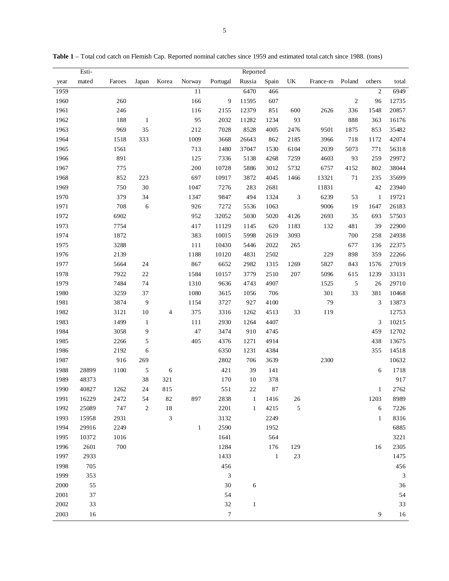|      | Esti- |        |              |                             |              |          | Reported     |              |            |          |            |                |                             |
|------|-------|--------|--------------|-----------------------------|--------------|----------|--------------|--------------|------------|----------|------------|----------------|-----------------------------|
| year | mated | Faroes | Japan        | Korea                       | Norway       | Portugal | Russia       | Spain        | UK         | France-m | Poland     | others         | total                       |
| 1959 |       |        |              |                             | 11           |          | 6470         | 466          |            |          |            | $\mathfrak{2}$ | 6949                        |
| 1960 |       | 260    |              |                             | 166          | 9        | 11595        | 607          |            |          | $\sqrt{2}$ | 96             | 12735                       |
| 1961 |       | 246    |              |                             | 116          | 2155     | 12379        | 851          | 600        | 2626     | 336        | 1548           | 20857                       |
| 1962 |       | 188    | -1           |                             | 95           | 2032     | 11282        | 1234         | 93         |          | 888        | 363            | 16176                       |
| 1963 |       | 969    | 35           |                             | 212          | 7028     | 8528         | 4005         | 2476       | 9501     | 1875       | 853            | 35482                       |
| 1964 |       | 1518   | 333          |                             | 1009         | 3668     | 26643        | 862          | 2185       | 3966     | 718        | 1172           | 42074                       |
| 1965 |       | 1561   |              |                             | 713          | 1480     | 37047        | 1530         | 6104       | 2039     | 5073       | 771            | 56318                       |
| 1966 |       | 891    |              |                             | 125          | 7336     | 5138         | 4268         | 7259       | 4603     | 93         | 259            | 29972                       |
| 1967 |       | 775    |              |                             | 200          | 10728    | 5886         | 3012         | 5732       | 6757     | 4152       | 802            | 38044                       |
| 1968 |       | 852    | 223          |                             | 697          | 10917    | 3872         | 4045         | 1466       | 13321    | 71         | 235            | 35699                       |
| 1969 |       | 750    | 30           |                             | 1047         | 7276     | 283          | 2681         |            | 11831    |            | 42             | 23940                       |
| 1970 |       | 379    | 34           |                             | 1347         | 9847     | 494          | 1324         | $\sqrt{3}$ | 6239     | 53         | $\mathbf{1}$   | 19721                       |
| 1971 |       | 708    | 6            |                             | 926          | 7272     | 5536         | 1063         |            | 9006     | 19         | 1647           | 26183                       |
| 1972 |       | 6902   |              |                             | 952          | 32052    | 5030         | 5020         | 4126       | 2693     | 35         | 693            | 57503                       |
| 1973 |       | 7754   |              |                             | 417          | 11129    | 1145         | 620          | 1183       | 132      | 481        | 39             | 22900                       |
| 1974 |       | 1872   |              |                             | 383          | 10015    | 5998         | 2619         | 3093       |          | 700        | 258            | 24938                       |
| 1975 |       | 3288   |              |                             | 111          | 10430    | 5446         | 2022         | 265        |          | 677        | 136            | 22375                       |
| 1976 |       | 2139   |              |                             | 1188         | 10120    | 4831         | 2502         |            | 229      | 898        | 359            | 22266                       |
| 1977 |       | 5664   | 24           |                             | 867          | 6652     | 2982         | 1315         | 1269       | 5827     | 843        | 1576           | 27019                       |
| 1978 |       | 7922   | $22\,$       |                             | 1584         | 10157    | 3779         | 2510         | 207        | 5096     | 615        | 1239           | 33131                       |
| 1979 |       | 7484   | 74           |                             | 1310         | 9636     | 4743         | 4907         |            | 1525     | $\sqrt{5}$ | 26             | 29710                       |
| 1980 |       | 3259   | 37           |                             | 1080         | 3615     | 1056         | 706          |            | 301      | 33         | 381            | 10468                       |
| 1981 |       | 3874   | 9            |                             | 1154         | 3727     | 927          | 4100         |            | 79       |            | 3              | 13873                       |
| 1982 |       | 3121   | $10\,$       | 4                           | 375          | 3316     | 1262         | 4513         | 33         | 119      |            |                | 12753                       |
| 1983 |       | 1499   | $\mathbf{1}$ |                             | 111          | 2930     | 1264         | 4407         |            |          |            | 3              | 10215                       |
| 1984 |       | 3058   | 9            |                             | 47           | 3474     | 910          | 4745         |            |          |            | 459            | 12702                       |
| 1985 |       | 2266   | 5            |                             | 405          | 4376     | 1271         | 4914         |            |          |            | 438            | 13675                       |
| 1986 |       | 2192   | 6            |                             |              | 6350     | 1231         | 4384         |            |          |            | 355            | 14518                       |
| 1987 |       | 916    | 269          |                             |              | 2802     | 706          | 3639         |            | 2300     |            |                | 10632                       |
| 1988 | 28899 | 1100   | 5            | $\sqrt{6}$                  |              | 421      | 39           | 141          |            |          |            | 6              | 1718                        |
| 1989 | 48373 |        | 38           | 321                         |              | 170      | 10           | 378          |            |          |            |                | 917                         |
| 1990 | 40827 | 1262   | 24           | 815                         |              | 551      | 22           | 87           |            |          |            | 1              | 2762                        |
| 1991 | 16229 | 2472   | 54           | 82                          | 897          | 2838     | $\mathbf{1}$ | 1416         | 26         |          |            | 1203           | 8989                        |
| 1992 | 25089 | 747    | 2            | 18                          |              | 2201     | $\mathbf{1}$ | 4215         | 5          |          |            | 6              | 7226                        |
| 1993 | 15958 | 2931   |              | $\ensuremath{\mathfrak{Z}}$ |              | 3132     |              | 2249         |            |          |            | $\mathbf{1}$   | 8316                        |
| 1994 | 29916 | 2249   |              |                             | $\mathbf{1}$ | 2590     |              | 1952         |            |          |            |                | 6885                        |
| 1995 | 10372 | 1016   |              |                             |              | 1641     |              | 564          |            |          |            |                | 3221                        |
| 1996 | 2601  | 700    |              |                             |              | 1284     |              | 176          | 129        |          |            | 16             | 2305                        |
| 1997 | 2933  |        |              |                             |              | 1433     |              | $\mathbf{1}$ | $23\,$     |          |            |                | 1475                        |
| 1998 | 705   |        |              |                             |              | 456      |              |              |            |          |            |                | 456                         |
| 1999 | 353   |        |              |                             |              | 3        |              |              |            |          |            |                | $\ensuremath{\mathfrak{Z}}$ |
| 2000 | 55    |        |              |                             |              | 30       | 6            |              |            |          |            |                | 36                          |
| 2001 | 37    |        |              |                             |              | 54       |              |              |            |          |            |                | 54                          |
| 2002 | 33    |        |              |                             |              | $32\,$   | $\mathbf{1}$ |              |            |          |            |                | 33                          |
| 2003 | 16    |        |              |                             |              | $\tau$   |              |              |            |          |            | 9              | 16                          |

**Table 1** – Total cod catch on Flemish Cap. Reported nominal catches since 1959 and estimated total catch since 1988. (tons)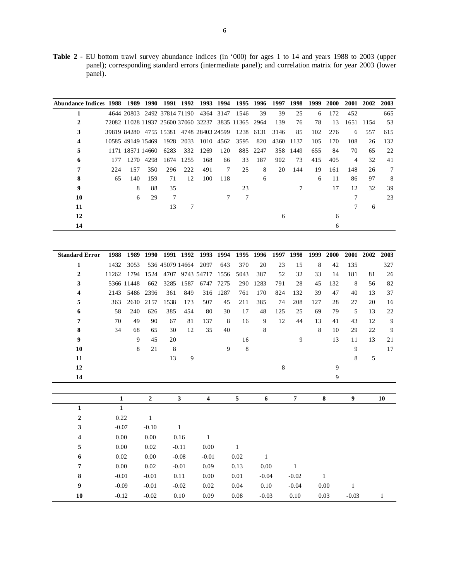**Table 2** - EU bottom trawl survey abundance indices (in '000) for ages 1 to 14 and years 1988 to 2003 (upper panel); corresponding standard errors (intermediate panel); and correlation matrix for year 2003 (lower panel).

| Abundance Indices 1988 1989 |     |                                            | 1990      |      | 1991 1992 |      | 1993 1994 |                                                     | 1995 1996 | 1997 | 1998     | 1999 | <b>2000</b> | 2001 | 2002      | 2003 |
|-----------------------------|-----|--------------------------------------------|-----------|------|-----------|------|-----------|-----------------------------------------------------|-----------|------|----------|------|-------------|------|-----------|------|
|                             |     | 4644 20803 2492 37814 71190 4364 3147 1546 |           |      |           |      |           |                                                     | 39        | 39   | 25       | 6    | 172         | 452  |           | 665  |
|                             |     |                                            |           |      |           |      |           | 72082 11028 11937 25600 37060 32237 3835 11365 2964 |           | 139  | 76       | 78   | 13          |      | 1651 1154 | 53   |
| 3                           |     | 39819 84280 4755 15381 4748 28403 24599    |           |      |           |      |           |                                                     | 1238 6131 | 3146 | 85       | 102  | 276         | 6    | 557       | 615  |
|                             |     | 10585 49149 15469                          |           |      | 1928 2033 |      | 1010 4562 | 3595                                                | 820       | 4360 | 1137     | 105  | 170         | 108  | 26        | 132  |
| 5                           |     | 1171 18571 14660                           |           | 6283 | 332       | 1269 | 120       |                                                     | 885 2247  |      | 358 1449 | 655  | 84          | 70   | 65        | 22   |
| 6                           | 177 |                                            | 1270 4298 |      | 1674 1255 | 168  | 66        | 33                                                  | 187       | 902  | 73       | 415  | 405         | 4    | 32        | 41   |
|                             | 224 | 157                                        | 350       | 296  | 222       | 491  | 7         | 25                                                  | 8         | 20   | 144      | 19   | 161         | 148  | 26        | 7    |
| 8                           | 65  | 140                                        | 159       | 71   | 12        | 100  | 118       |                                                     | 6         |      |          | 6    | 11          | 86   | 97        | 8    |
| 9                           |     | 8                                          | 88        | 35   |           |      |           | 23                                                  |           |      |          |      | 17          | 12   | 32        | 39   |
| 10                          |     | 6                                          | 29        | 7    |           |      |           |                                                     |           |      |          |      |             |      |           | 23   |
| 11                          |     |                                            |           | 13   |           |      |           |                                                     |           |      |          |      |             |      | 6         |      |
| 12                          |     |                                            |           |      |           |      |           |                                                     |           | 6    |          |      | 6           |      |           |      |
| 14                          |     |                                            |           |      |           |      |           |                                                     |           |      |          |      | h           |      |           |      |

| <b>Standard Error</b> | 1988         | 1989       | 1990           |                 | 1991 1992    | 1993            | 1994     | 1995        | 1996         | 1997        | 1998           | 1999 | 2000 |         | 2001 2002 | 2003 |
|-----------------------|--------------|------------|----------------|-----------------|--------------|-----------------|----------|-------------|--------------|-------------|----------------|------|------|---------|-----------|------|
| 1                     | 1432         | 3053       |                | 536 45079 14664 |              | 2097            | 643      | 370         | 20           | 23          | 15             | 8    | 42   | 135     |           | 327  |
| 2                     | 11262        | 1794       | 1524           |                 |              | 4707 9743 54717 | 1556     | 5043        | 387          | 52          | 32             | 33   | 14   | 181     | 81        | 26   |
| 3                     |              | 5366 11448 | 662            | 3285            | 1587         | 6747            | 7275     | 290         | 1283         | 791         | 28             | 45   | 132  | 8       | 56        | 82   |
| 4                     | 2143         | 5486       | 2396           | 361             | 849          |                 | 316 1287 | 761         | 170          | 824         | 132            | 39   | 47   | 40      | 13        | 37   |
| 5                     | 363          | 2610       | 2157           | 1538            | 173          | 507             | 45       | 211         | 385          | 74          | 208            | 127  | 28   | 27      | 20        | 16   |
| 6                     | 58           | 240        | 626            | 385             | 454          | 80              | 30       | 17          | 48           | 125         | 25             | 69   | 79   | 5       | 13        | 22   |
| 7                     | 70           | 49         | 90             | 67              | 81           | 137             | 8        | 16          | 9            | 12          | 44             | 13   | 41   | 43      | 12        | 9    |
| 8                     | 34           | 68         | 65             | 30              | 12           | 35              | 40       |             | 8            |             |                | 8    | 10   | 29      | 22        | 9    |
| 9                     |              | 9          | 45             | 20              |              |                 |          | 16          |              |             | 9              |      | 13   | 11      | 13        | 21   |
| 10                    |              | 8          | 21             | 8               |              |                 | 9        | $\,$ 8 $\,$ |              |             |                |      |      | 9       |           | 17   |
| 11                    |              |            |                | 13              | 9            |                 |          |             |              |             |                |      |      | 8       | 5         |      |
| 12                    |              |            |                |                 |              |                 |          |             |              | $\,$ 8 $\,$ |                |      | 9    |         |           |      |
| 14                    |              |            |                |                 |              |                 |          |             |              |             |                |      | 9    |         |           |      |
|                       |              |            |                |                 |              |                 |          |             |              |             |                |      |      |         |           |      |
|                       | $\mathbf{1}$ |            | $\overline{2}$ |                 | $\mathbf{3}$ | 4               |          | 5           | 6            |             | $\overline{7}$ |      | 8    | 9       |           | 10   |
| $\mathbf{1}$          | $\mathbf{1}$ |            |                |                 |              |                 |          |             |              |             |                |      |      |         |           |      |
| $\boldsymbol{2}$      | 0.22         |            | $\mathbf{1}$   |                 |              |                 |          |             |              |             |                |      |      |         |           |      |
| 3                     | $-0.07$      |            | $-0.10$        |                 | $\mathbf{1}$ |                 |          |             |              |             |                |      |      |         |           |      |
| 4                     | 0.00         |            | 0.00           |                 | 0.16         | $\mathbf{1}$    |          |             |              |             |                |      |      |         |           |      |
| 5                     | 0.00         |            | 0.02           |                 | $-0.11$      | 0.00            |          | 1           |              |             |                |      |      |         |           |      |
| 6                     | 0.02         |            | 0.00           |                 | $-0.08$      | $-0.01$         |          | 0.02        | $\mathbf{1}$ |             |                |      |      |         |           |      |
| 7                     | 0.00         |            | 0.02           |                 | $-0.01$      | 0.09            |          | 0.13        | 0.00         |             | 1              |      |      |         |           |      |
| 8                     | $-0.01$      |            | $-0.01$        |                 | 0.11         | 0.00            |          | 0.01        | $-0.04$      |             | $-0.02$        |      | 1    |         |           |      |
| 9                     | $-0.09$      |            | $-0.01$        |                 | $-0.02$      | 0.02            |          | 0.04        | 0.10         |             | $-0.04$        |      | 0.00 | 1       |           |      |
| 10                    | $-0.12$      |            | $-0.02$        |                 | 0.10         | 0.09            |          | 0.08        | $-0.03$      |             | 0.10           |      | 0.03 | $-0.03$ |           | 1    |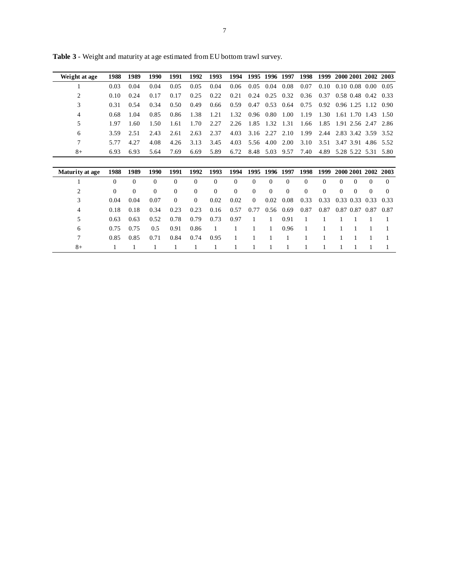| Weight at age   | 1988     | 1989     | 1990     | 1991     | 1992           | 1993         | 1994     | 1995     | 1996 1997    |          | 1998     | 1999     |          |           | 2000 2001 2002     | 2003     |
|-----------------|----------|----------|----------|----------|----------------|--------------|----------|----------|--------------|----------|----------|----------|----------|-----------|--------------------|----------|
|                 | 0.03     | 0.04     | 0.04     | 0.05     | 0.05           | 0.04         | 0.06     | 0.05     | 0.04         | 0.08     | 0.07     | 0.10     |          |           | $0.10\ 0.08\ 0.00$ | 0.05     |
| $\overline{c}$  | 0.10     | 0.24     | 0.17     | 0.17     | 0.25           | 0.22         | 0.21     | 0.24     | 0.25         | 0.32     | 0.36     | 0.37     |          |           | $0.58$ 0.48 0.42   | 0.33     |
| 3               | 0.31     | 0.54     | 0.34     | 0.50     | 0.49           | 0.66         | 0.59     | 0.47     | 0.53         | 0.64     | 0.75     | 0.92     |          | 0.96 1.25 | 1.12               | 0.90     |
| 4               | 0.68     | 1.04     | 0.85     | 0.86     | 1.38           | 1.21         | 1.32     | 0.96     | 0.80         | 1.00     | 1.19     | 1.30     |          |           | 1.61 1.70 1.43     | 1.50     |
| 5               | 1.97     | 1.60     | 1.50     | 1.61     | 1.70           | 2.27         | 2.26     | 1.85     | 1.32         | 1.31     | 1.66     | 1.85     |          |           | 1.91 2.56 2.47     | 2.86     |
| 6               | 3.59     | 2.51     | 2.43     | 2.61     | 2.63           | 2.37         | 4.03     | 3.16     | 2.27         | 2.10     | 1.99     | 2.44     |          |           | 2.83 3.42 3.59     | 3.52     |
| 7               | 5.77     | 4.27     | 4.08     | 4.26     | 3.13           | 3.45         | 4.03     | 5.56     | 4.00         | 2.00     | 3.10     | 3.51     |          | 3.47 3.91 | 4.86               | 5.52     |
| $8+$            | 6.93     | 6.93     | 5.64     | 7.69     | 6.69           | 5.89         | 6.72     | 8.48     | 5.03         | 9.57     | 7.40     | 4.89     |          |           | 5.28 5.22 5.31     | 5.80     |
|                 |          |          |          |          |                |              |          |          |              |          |          |          |          |           |                    |          |
|                 |          |          |          |          |                |              |          |          |              |          |          |          |          |           |                    |          |
| Maturity at age | 1988     | 1989     | 1990     | 1991     | 1992           | 1993         | 1994     | 1995     | 1996         | 1997     | 1998     | 1999     |          |           | 2000 2001 2002     | 2003     |
|                 | $\Omega$ | $\Omega$ | $\Omega$ | $\Omega$ | $\Omega$       | $\Omega$     | $\Omega$ | $\Omega$ | $\Omega$     | $\Omega$ | $\Omega$ | $\Omega$ | $\Omega$ | $\Omega$  | $\Omega$           | $\Omega$ |
| 2               | $\Omega$ | $\Omega$ | $\Omega$ | $\Omega$ | $\Omega$       | $\Omega$     | $\Omega$ | $\Omega$ | $\theta$     | $\Omega$ | $\Omega$ | $\Omega$ | $\Omega$ | $\Omega$  | $\Omega$           | $\Omega$ |
| 3               | 0.04     | 0.04     | 0.07     | $\Omega$ | $\overline{0}$ | 0.02         | 0.02     | $\theta$ | 0.02         | 0.08     | 0.33     | 0.33     |          | 0.33 0.33 | 0.33               | 0.33     |
| 4               | 0.18     | 0.18     | 0.34     | 0.23     | 0.23           | 0.16         | 0.57     | 0.77     | 0.56         | 0.69     | 0.87     | 0.87     |          | 0.87 0.87 | 0.87               | 0.87     |
| 5               | 0.63     | 0.63     | 0.52     | 0.78     | 0.79           | 0.73         | 0.97     | 1        | $\mathbf{1}$ | 0.91     | 1        |          |          |           |                    |          |
| 6               | 0.75     | 0.75     | 0.5      | 0.91     | 0.86           | $\mathbf{1}$ | 1        |          | 1            | 0.96     |          |          |          |           |                    |          |
| 7               | 0.85     | 0.85     | 0.71     | 0.84     | 0.74           | 0.95         |          |          | 1            | 1        |          |          |          |           |                    |          |

**Table 3** - Weight and maturity at age estimated from EU bottom trawl survey.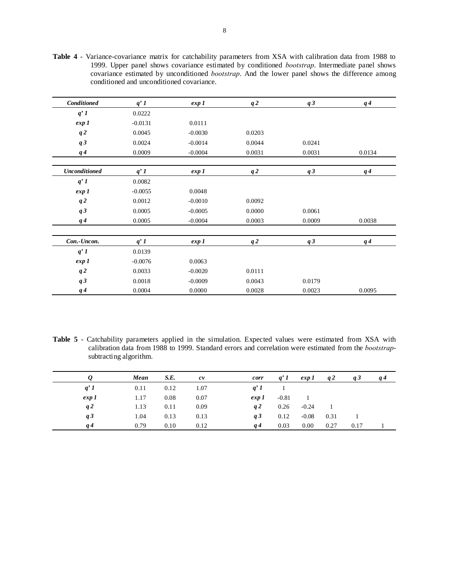**Table 4** - Variance-covariance matrix for catchability parameters from XSA with calibration data from 1988 to 1999. Upper panel shows covariance estimated by conditioned *bootstrap*. Intermediate panel shows covariance estimated by unconditioned *bootstrap*. And the lower panel shows the difference among conditioned and unconditioned covariance.

| Conditioned          | q'1       | exp 1     | q2     | q3     | $q\,4$ |
|----------------------|-----------|-----------|--------|--------|--------|
| q'1                  | 0.0222    |           |        |        |        |
| exp 1                | $-0.0131$ | 0.0111    |        |        |        |
| q2                   | 0.0045    | $-0.0030$ | 0.0203 |        |        |
| q3                   | 0.0024    | $-0.0014$ | 0.0044 | 0.0241 |        |
| $q\,4$               | 0.0009    | $-0.0004$ | 0.0031 | 0.0031 | 0.0134 |
|                      |           |           |        |        |        |
| <b>Unconditioned</b> | q'1       | exp 1     | q2     | q3     | $q\,4$ |
| q'1                  | 0.0082    |           |        |        |        |
| exp 1                | $-0.0055$ | 0.0048    |        |        |        |
| q2                   | 0.0012    | $-0.0010$ | 0.0092 |        |        |
| q3                   | 0.0005    | $-0.0005$ | 0.0000 | 0.0061 |        |
| $q\,4$               | 0.0005    | $-0.0004$ | 0.0003 | 0.0009 | 0.0038 |
|                      |           |           |        |        |        |
| Con.-Uncon.          | $q'$ 1    | exp 1     | q2     | q3     | $q\,4$ |
| q'1                  | 0.0139    |           |        |        |        |
| exp 1                | $-0.0076$ | 0.0063    |        |        |        |
| q2                   | 0.0033    | $-0.0020$ | 0.0111 |        |        |
| q3                   | 0.0018    | $-0.0009$ | 0.0043 | 0.0179 |        |
| $q\,4$               | 0.0004    | 0.0000    | 0.0028 | 0.0023 | 0.0095 |

**Table 5** - Catchability parameters applied in the simulation. Expected values were estimated from XSA with calibration data from 1988 to 1999. Standard errors and correlation were estimated from the *bootstrap*subtracting algorithm.

|       | Mean | S.E. | c v  | corr  | $q'$ 1  | exp 1          | q2   | q3   | $q\,4$ |
|-------|------|------|------|-------|---------|----------------|------|------|--------|
| q'1   | 0.11 | 0.12 | 1.07 | q'1   |         |                |      |      |        |
| exp 1 | 1.17 | 0.08 | 0.07 | exp 1 | $-0.81$ | $\blacksquare$ |      |      |        |
| q2    | 1.13 | 0.11 | 0.09 | q2    | 0.26    | $-0.24$        |      |      |        |
| q3    | 1.04 | 0.13 | 0.13 | q3    | 0.12    | $-0.08$        | 0.31 |      |        |
| q 4   | 0.79 | 0.10 | 0.12 | q 4   | 0.03    | $0.00\,$       | 0.27 | 0.17 |        |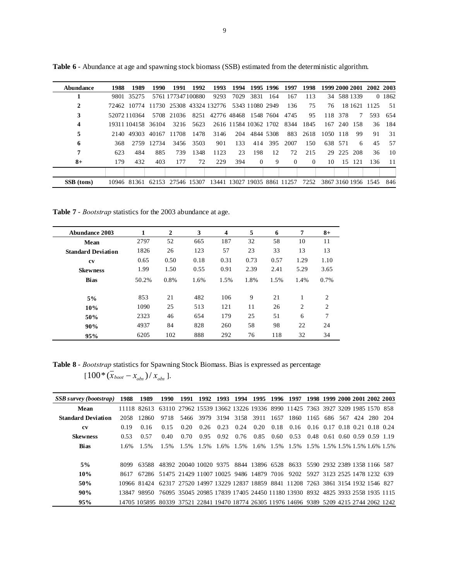| Abundance      | 1988 | 1989                                 | 1990   | 1991                                                                    | 1992 | 1993                       | 1994 |                 | 1995 1996 | 1997                       | 1998     |          |         |             | 1999 2000 2001 2002 2003 |        |
|----------------|------|--------------------------------------|--------|-------------------------------------------------------------------------|------|----------------------------|------|-----------------|-----------|----------------------------|----------|----------|---------|-------------|--------------------------|--------|
|                | 9801 | 35275                                |        | 5761 177347 100880                                                      |      | 9293                       | 7029 | 3831            | 164       | 167                        | 113      |          |         | 34 588 1339 |                          | 0 1862 |
| 2              |      | 72462 10774 11730 25308 43324 132776 |        |                                                                         |      |                            |      | 5343 11080 2949 |           | 136                        | 75       | 76       |         | 18 16 21    | 1125                     | 51     |
| 3              |      | 52072 110364                         |        | 5708 21036                                                              |      | 8251 42776 48468 1548 7604 |      |                 |           | 4745                       | 95       |          | 118 378 | 7           | 593                      | 654    |
| $\overline{4}$ |      | 19311104158 36104                    |        | 3216                                                                    | 5623 |                            |      |                 |           | 2616 11584 10362 1702 8344 | 1845     |          |         | 167 240 158 | 36                       | 184    |
| 5              |      | 2140 49303                           |        | 40167 11708                                                             | 1478 | 3146                       | 204  | 4844 5308       |           | 883                        | 2618     | 1050 118 |         | 99          | 91                       | 31     |
| 6              | 368  | 2759                                 | 12.734 | 3456                                                                    | 3503 | 901                        | 133  | 414             | 395       | 2007                       | 150      |          | 638 571 | 6           | 45                       | 57     |
| 7              | 623  | 484                                  | 885    | 739                                                                     | 1348 | 1123                       | 23   | 198             | 12        | 72                         | 215      |          |         | 29 225 208  | 36                       | 10     |
| $8+$           | 179  | 432                                  | 403    | 177                                                                     | 72   | 229                        | 394  | $\Omega$        | 9         | $\Omega$                   | $\Omega$ | 10       | 15      | -121        | 136                      | -11    |
|                |      |                                      |        |                                                                         |      |                            |      |                 |           |                            |          |          |         |             |                          |        |
| SSB (tons)     |      | 10946 81361                          |        | 62153 27546 15307 13441 13027 19035 8861 11257 7252 3867 3160 1956 1545 |      |                            |      |                 |           |                            |          |          |         |             |                          | 846    |

**Table 6** - Abundance at age and spawning stock biomass (SSB) estimated from the deterministic algorithm.

**Table 7** - *Bootstrap* statistics for the 2003 abundance at age.

| Abundance 2003            | 1     | $\mathbf{2}$ | 3    | $\overline{\mathbf{4}}$ | 5    | 6    | 7    | $8+$ |
|---------------------------|-------|--------------|------|-------------------------|------|------|------|------|
| Mean                      | 2797  | 52           | 665  | 187                     | 32   | 58   | 10   | 11   |
| <b>Standard Deviation</b> | 1826  | 26           | 123  | 57                      | 23   | 33   | 13   | 13   |
| cv                        | 0.65  | 0.50         | 0.18 | 0.31                    | 0.73 | 0.57 | 1.29 | 1.10 |
| <b>Skewness</b>           | 1.99  | 1.50         | 0.55 | 0.91                    | 2.39 | 2.41 | 5.29 | 3.65 |
| <b>Bias</b>               | 50.2% | 0.8%         | 1.6% | 1.5%                    | 1.8% | 1.5% | 1.4% | 0.7% |
| 5%                        | 853   | 21           | 482  | 106                     | 9    | 21   |      | 2    |
| 10%                       | 1090  | 25           | 513  | 121                     | 11   | 26   | 2    | 2    |
| 50%                       | 2323  | 46           | 654  | 179                     | 25   | 51   | 6    | 7    |
| 90%                       | 4937  | 84           | 828  | 260                     | 58   | 98   | 22   | 24   |
| 95%                       | 6205  | 102          | 888  | 292                     | 76   | 118  | 32   | 34   |

**Table 8** - *Bootstrap* statistics for Spawning Stock Biomass. Bias is expressed as percentage  $[100*(\bar{x}_{boot} - x_{obs})/\bar{x}_{obs}]$ .

| SSB survey (bootstrap)    | 1988    | 1989                                                                                       | 1990                                                                            | 1991 | 1992 1993 |      | 1994 | 1995 | 1996 | 1997                                                   |                               | 1998 1999 2000 2001 2002 2003 |     |         |  |
|---------------------------|---------|--------------------------------------------------------------------------------------------|---------------------------------------------------------------------------------|------|-----------|------|------|------|------|--------------------------------------------------------|-------------------------------|-------------------------------|-----|---------|--|
| Mean                      |         | 11118 82613 63110 27962 15539 13662 13226 19336 8990 11425 7363 3927 3209 1985 1570 858    |                                                                                 |      |           |      |      |      |      |                                                        |                               |                               |     |         |  |
| <b>Standard Deviation</b> | 2058    | 12860                                                                                      | 9718                                                                            |      | 5466 3979 |      |      |      |      | 3194 3158 3911 1657 1860 1165 686 567                  |                               |                               | 424 | 280 204 |  |
| <b>CV</b>                 | 0.19    | 0.16                                                                                       | 0.15                                                                            | 0.20 | 0.26      | 0.23 | 0.24 | 0.20 | 0.18 | 0.16 0.16 0.17 0.18 0.21 0.18 0.24                     |                               |                               |     |         |  |
| <b>Skewness</b>           | 0.53    | 0.57                                                                                       | 0.40                                                                            | 0.70 | 0.95      | 0.92 | 0.76 | 0.85 | 0.60 | 0.53                                                   | 0.48 0.61 0.60 0.59 0.59 1.19 |                               |     |         |  |
| <b>Bias</b>               | $1.6\%$ | 1.5%                                                                                       | 1.5%                                                                            | 1.5% | $1.5\%$   |      |      |      |      | 1.6% 1.5% 1.6% 1.5% 1.5% 1.5% 1.5% 1.5% 1.5% 1.6% 1.5% |                               |                               |     |         |  |
|                           |         |                                                                                            |                                                                                 |      |           |      |      |      |      |                                                        |                               |                               |     |         |  |
| 5%                        | 8099    |                                                                                            | 63588 48392 20040 10020 9375 8844 13896 6528 8633 5590 2932 2389 1358 1166 587  |      |           |      |      |      |      |                                                        |                               |                               |     |         |  |
| 10%                       | 8617    |                                                                                            | 67286 51475 21429 11007 10025 9486 14879 7016 9202 5927 3123 2525 1478 1232 639 |      |           |      |      |      |      |                                                        |                               |                               |     |         |  |
| 50%                       |         | 10966 81424                                                                                | 62317 27520 14997 13229 12837 18859 8841 11208 7263 3861 3154 1932 1546 827     |      |           |      |      |      |      |                                                        |                               |                               |     |         |  |
| 90%                       |         | 13847 98950 76095 35045 20985 17839 17405 24450 11180 13930 8932 4825 3933 2558 1935 1115  |                                                                                 |      |           |      |      |      |      |                                                        |                               |                               |     |         |  |
| 95%                       |         | 14705 105895 80339 37521 22841 19470 18774 26305 11976 14696 9389 5209 4215 2744 2062 1242 |                                                                                 |      |           |      |      |      |      |                                                        |                               |                               |     |         |  |